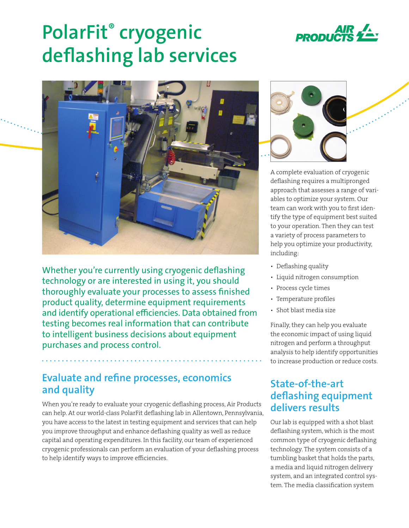

# **PolarFit® cryogenic deflashing lab services**



Whether you're currently using cryogenic deflashing technology or are interested in using it, you should thoroughly evaluate your processes to assess finished product quality, determine equipment requirements and identify operational efficiencies. Data obtained from testing becomes real information that can contribute to intelligent business decisions about equipment purchases and process control.

### **Evaluate and refine processes, economics and quality**

When you're ready to evaluate your cryogenic deflashing process, Air Products can help. At our world-class PolarFit deflashing lab in Allentown, Pennsylvania, you have access to the latest in testing equipment and services that can help you improve throughput and enhance deflashing quality as well as reduce capital and operating expenditures. In this facility, our team of experienced cryogenic professionals can perform an evaluation of your deflashing process to help identify ways to improve efficiencies.



A complete evaluation of cryogenic deflashing requires a multipronged approach that assesses a range of variables to optimize your system. Our team can work with you to first identify the type of equipment best suited to your operation. Then they can test a variety of process parameters to help you optimize your productivity, including:

- Deflashing quality
- Liquid nitrogen consumption
- Process cycle times
- Temperature profiles
- Shot blast media size

Finally, they can help you evaluate the economic impact of using liquid nitrogen and perform a throughput analysis to help identify opportunities to increase production or reduce costs.

## **State-of-the-art deflashing equipment delivers results**

Our lab is equipped with a shot blast deflashing system, which is the most common type of cryogenic deflashing technology. The system consists of a tumbling basket that holds the parts, a media and liquid nitrogen delivery system, and an integrated control system. The media classification system